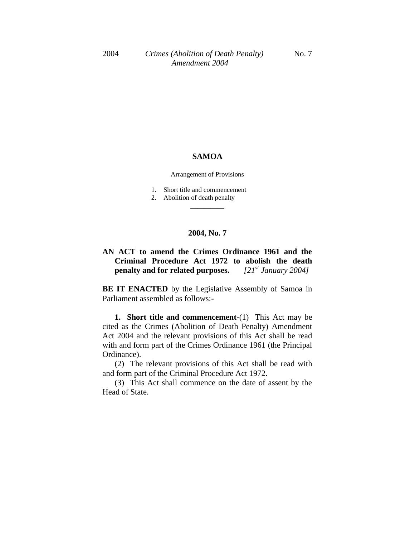#### **SAMOA**

#### Arrangement of Provisions

- 1. Short title and commencement
- 2. Abolition of death penalty

# **2004, No. 7**

**\_\_\_\_\_\_\_\_\_\_**

# **AN ACT to amend the Crimes Ordinance 1961 and the Criminal Procedure Act 1972 to abolish the death penalty and for related purposes.** *[21st January 2004]*

**BE IT ENACTED** by the Legislative Assembly of Samoa in Parliament assembled as follows:-

**1. Short title and commencement-**(1) This Act may be cited as the Crimes (Abolition of Death Penalty) Amendment Act 2004 and the relevant provisions of this Act shall be read with and form part of the Crimes Ordinance 1961 (the Principal Ordinance).

(2) The relevant provisions of this Act shall be read with and form part of the Criminal Procedure Act 1972.

(3) This Act shall commence on the date of assent by the Head of State.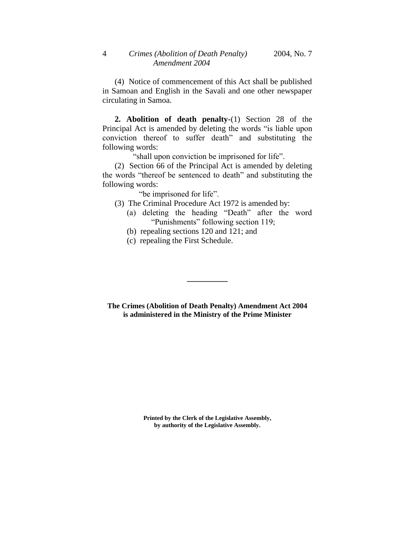(4) Notice of commencement of this Act shall be published in Samoan and English in the Savali and one other newspaper circulating in Samoa.

**2. Abolition of death penalty-**(1) Section 28 of the Principal Act is amended by deleting the words "is liable upon conviction thereof to suffer death" and substituting the following words:

"shall upon conviction be imprisoned for life".

(2) Section 66 of the Principal Act is amended by deleting the words "thereof be sentenced to death" and substituting the following words:

"be imprisoned for life".

- (3) The Criminal Procedure Act 1972 is amended by:
	- (a) deleting the heading "Death" after the word "Punishments" following section 119;
	- (b) repealing sections 120 and 121; and
	- (c) repealing the First Schedule.

**The Crimes (Abolition of Death Penalty) Amendment Act 2004 is administered in the Ministry of the Prime Minister**

**\_\_\_\_\_\_\_\_\_\_**

**Printed by the Clerk of the Legislative Assembly, by authority of the Legislative Assembly.**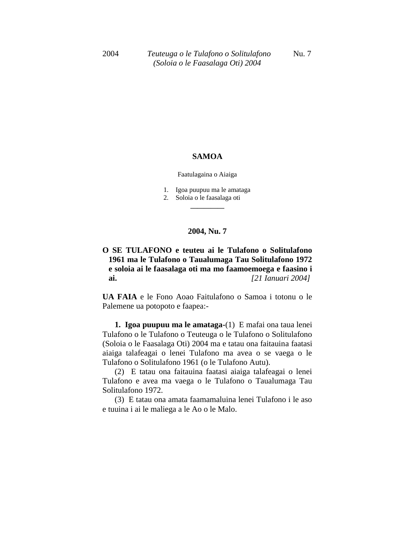## **SAMOA**

Faatulagaina o Aiaiga

- 1. Igoa puupuu ma le amataga
- 2. Soloia o le faasalaga oti **\_\_\_\_\_\_\_\_\_\_**

## **2004, Nu. 7**

# **O SE TULAFONO e teuteu ai le Tulafono o Solitulafono 1961 ma le Tulafono o Taualumaga Tau Solitulafono 1972 e soloia ai le faasalaga oti ma mo faamoemoega e faasino i ai.** *[21 Ianuari 2004]*

**UA FAIA** e le Fono Aoao Faitulafono o Samoa i totonu o le Palemene ua potopoto e faapea:-

**1. Igoa puupuu ma le amataga-**(1) E mafai ona taua lenei Tulafono o le Tulafono o Teuteuga o le Tulafono o Solitulafono (Soloia o le Faasalaga Oti) 2004 ma e tatau ona faitauina faatasi aiaiga talafeagai o lenei Tulafono ma avea o se vaega o le Tulafono o Solitulafono 1961 (o le Tulafono Autu).

(2) E tatau ona faitauina faatasi aiaiga talafeagai o lenei Tulafono e avea ma vaega o le Tulafono o Taualumaga Tau Solitulafono 1972.

(3) E tatau ona amata faamamaluina lenei Tulafono i le aso e tuuina i ai le maliega a le Ao o le Malo.